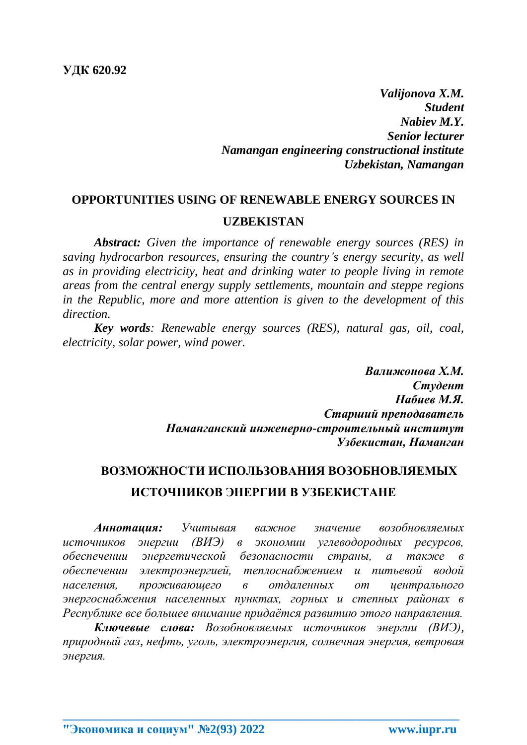*Valijonova X.M. Student Nabiev M.Y. Senior lecturer Namangan engineering constructional institute Uzbekistan, Namangan*

## **OPPORTUNITIES USING OF RENEWABLE ENERGY SOURCES IN UZBEKISTAN**

*Abstract: Given the importance of renewable energy sources (RES) in saving hydrocarbon resources, ensuring the country's energy security, as well as in providing electricity, heat and drinking water to people living in remote areas from the central energy supply settlements, mountain and steppe regions in the Republic, more and more attention is given to the development of this direction.*

*Key words: Renewable energy sources (RES), natural gas, oil, coal, electricity, solar power, wind power.*

> *Валижонова Х.М. Студент Набиев М.Я. Старший преподаватель Наманганский инженерно-строительный институт Узбекистан, Наманган*

## **ВОЗМОЖНОСТИ ИСПОЛЬЗОВАНИЯ ВОЗОБНОВЛЯЕМЫХ ИСТОЧНИКОВ ЭНЕРГИИ В УЗБЕКИСТАНЕ**

*Аннотация: Учитывая важное значение возобновляемых источников энергии (ВИЭ) в экономии углеводородных ресурсов, обеспечении энергетической безопасности страны, а также в обеспечении электроэнергией, теплоснабжением и питьевой водой населения, проживающего в отдаленных от центрального энергоснабжения населенных пунктах, горных и степных районах в Республике все большее внимание придаётся развитию этого направления.*

*Ключевые слова: Возобновляемых источников энергии (ВИЭ), природный газ, нефть, уголь, электроэнергия, солнечная энергия, ветровая энергия.*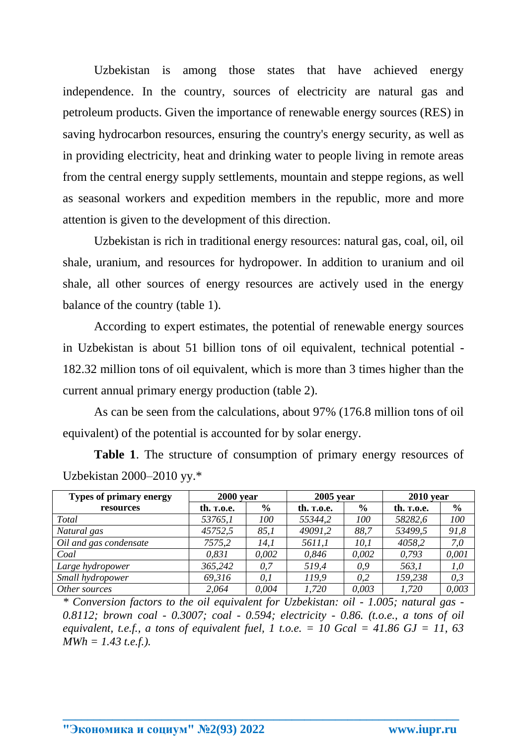Uzbekistan is among those states that have achieved energy independence. In the country, sources of electricity are natural gas and petroleum products. Given the importance of renewable energy sources (RES) in saving hydrocarbon resources, ensuring the country's energy security, as well as in providing electricity, heat and drinking water to people living in remote areas from the central energy supply settlements, mountain and steppe regions, as well as seasonal workers and expedition members in the republic, more and more attention is given to the development of this direction.

Uzbekistan is rich in traditional energy resources: natural gas, coal, oil, oil shale, uranium, and resources for hydropower. In addition to uranium and oil shale, all other sources of energy resources are actively used in the energy balance of the country (table 1).

According to expert estimates, the potential of renewable energy sources in Uzbekistan is about 51 billion tons of oil equivalent, technical potential - 182.32 million tons of oil equivalent, which is more than 3 times higher than the current annual primary energy production (table 2).

As can be seen from the calculations, about 97% (176.8 million tons of oil equivalent) of the potential is accounted for by solar energy.

| <b>Types of primary energy</b> | $2000$ year       |               | $2005$ year        |               | $2010$ year        |               |
|--------------------------------|-------------------|---------------|--------------------|---------------|--------------------|---------------|
| resources                      | th. <b>T.O.e.</b> | $\frac{6}{9}$ | th. <b>r</b> .o.e. | $\frac{6}{6}$ | th. <b>r</b> .o.e. | $\frac{0}{0}$ |
| Total                          | 53765,1           | 100           | 55344,2            | 100           | 58282,6            | 100           |
| Natural gas                    | 45752,5           | 85,1          | 49091,2            | 88,7          | 53499,5            | 91,8          |
| Oil and gas condensate         | 7575,2            | 14,1          | 5611,1             | 10,1          | 4058,2             | 7,0           |
| Coal                           | 0,831             | 0,002         | 0.846              | 0,002         | 0.793              | 0,001         |
| Large hydropower               | 365,242           | 0.7           | 519,4              | 0.9           | 563,1              | 1,0           |
| Small hydropower               | 69,316            | 0,1           | 119,9              | 0.2           | 159,238            | 0,3           |
| Other sources                  | 2,064             | 0,004         | 1,720              | 0,003         | 1,720              | 0,003         |

**Table 1**. The structure of consumption of primary energy resources of Uzbekistan 2000–2010 yy.\*

*\* Conversion factors to the oil equivalent for Uzbekistan: oil - 1.005; natural gas - 0.8112; brown coal - 0.3007; coal - 0.594; electricity - 0.86. (t.o.e., a tons of oil equivalent, t.e.f., a tons of equivalent fuel, 1 t.o.e.* = 10 Gcal = 41.86 GJ = 11, 63 *MWh = 1.43 t.e.f.).*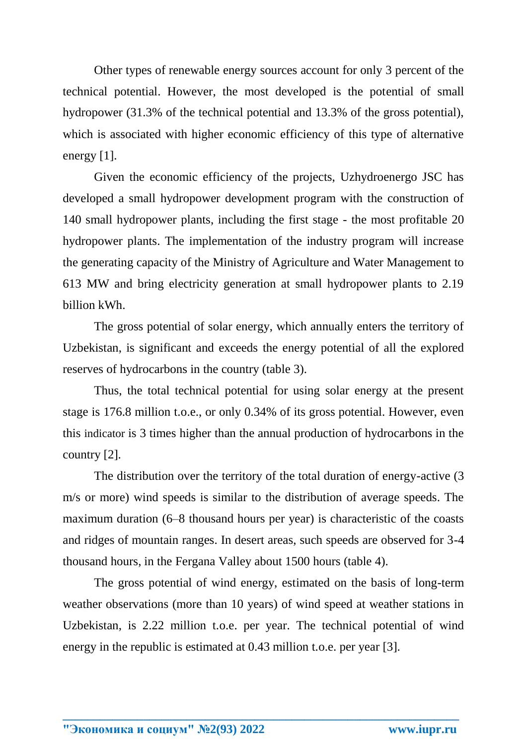Other types of renewable energy sources account for only 3 percent of the technical potential. However, the most developed is the potential of small hydropower (31.3% of the technical potential and 13.3% of the gross potential), which is associated with higher economic efficiency of this type of alternative energy [1].

Given the economic efficiency of the projects, Uzhydroenergo JSC has developed a small hydropower development program with the construction of 140 small hydropower plants, including the first stage - the most profitable 20 hydropower plants. The implementation of the industry program will increase the generating capacity of the Ministry of Agriculture and Water Management to 613 MW and bring electricity generation at small hydropower plants to 2.19 billion kWh.

The gross potential of solar energy, which annually enters the territory of Uzbekistan, is significant and exceeds the energy potential of all the explored reserves of hydrocarbons in the country (table 3).

Thus, the total technical potential for using solar energy at the present stage is 176.8 million t.o.e., or only 0.34% of its gross potential. However, even this indicator is 3 times higher than the annual production of hydrocarbons in the country [2].

The distribution over the territory of the total duration of energy-active (3 m/s or more) wind speeds is similar to the distribution of average speeds. The maximum duration (6–8 thousand hours per year) is characteristic of the coasts and ridges of mountain ranges. In desert areas, such speeds are observed for 3-4 thousand hours, in the Fergana Valley about 1500 hours (table 4).

The gross potential of wind energy, estimated on the basis of long-term weather observations (more than 10 years) of wind speed at weather stations in Uzbekistan, is 2.22 million t.o.e. per year. The technical potential of wind energy in the republic is estimated at 0.43 million t.o.e. per year [3].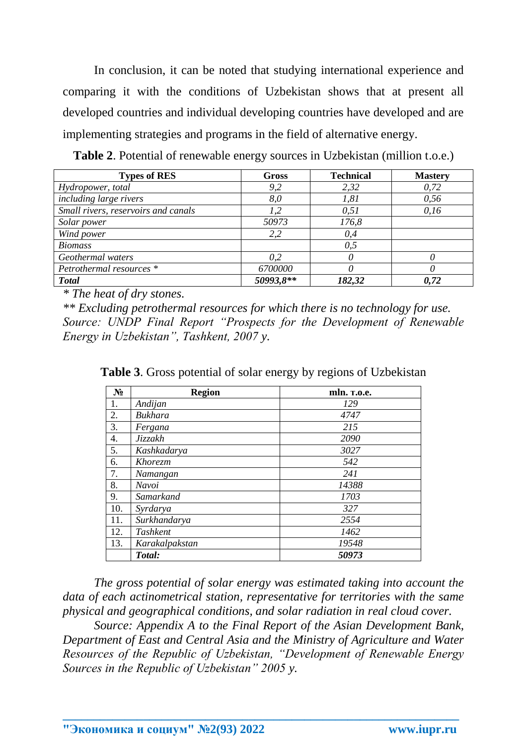In conclusion, it can be noted that studying international experience and comparing it with the conditions of Uzbekistan shows that at present all developed countries and individual developing countries have developed and are implementing strategies and programs in the field of alternative energy.

**Table 2**. Potential of renewable energy sources in Uzbekistan (million t.o.e.)

| <b>Types of RES</b>                 | Gross     | <b>Technical</b> | <b>Mastery</b> |
|-------------------------------------|-----------|------------------|----------------|
| Hydropower, total                   | 9,2       | 2,32             | 0,72           |
| including large rivers              | 8,0       | 1,81             | 0,56           |
| Small rivers, reservoirs and canals | 1,2       | 0,51             | 0,16           |
| Solar power                         | 50973     | 176,8            |                |
| Wind power                          | 2,2       | 0,4              |                |
| <b>Biomass</b>                      |           | 0,5              |                |
| Geothermal waters                   | 0,2       |                  |                |
| Petrothermal resources *            | 6700000   |                  |                |
| <b>Total</b>                        | 50993,8** | 182,32           | 0.72           |

*\* The heat of dry stones.*

*\*\* Excluding petrothermal resources for which there is no technology for use. Source: UNDP Final Report "Prospects for the Development of Renewable Energy in Uzbekistan", Tashkent, 2007 y.*

| $N_2$ | <b>Region</b>  | mln. T.o.e. |
|-------|----------------|-------------|
| 1.    | Andijan        | 129         |
| 2.    | Bukhara        | 4747        |
| 3.    | Fergana        | 215         |
| 4.    | Jizzakh        | 2090        |
| 5.    | Kashkadarya    | 3027        |
| 6.    | Khorezm        | 542         |
| 7.    | Namangan       | 241         |
| 8.    | Navoi          | 14388       |
| 9.    | Samarkand      | 1703        |
| 10.   | Syrdarya       | 327         |
| 11.   | Surkhandarya   | 2554        |
| 12.   | Tashkent       | 1462        |
| 13.   | Karakalpakstan | 19548       |
|       | Total:         | 50973       |

**Table 3**. Gross potential of solar energy by regions of Uzbekistan

*The gross potential of solar energy was estimated taking into account the data of each actinometrical station, representative for territories with the same physical and geographical conditions, and solar radiation in real cloud cover.*

*Source: Appendix A to the Final Report of the Asian Development Bank, Department of East and Central Asia and the Ministry of Agriculture and Water Resources of the Republic of Uzbekistan, "Development of Renewable Energy Sources in the Republic of Uzbekistan" 2005 y.*